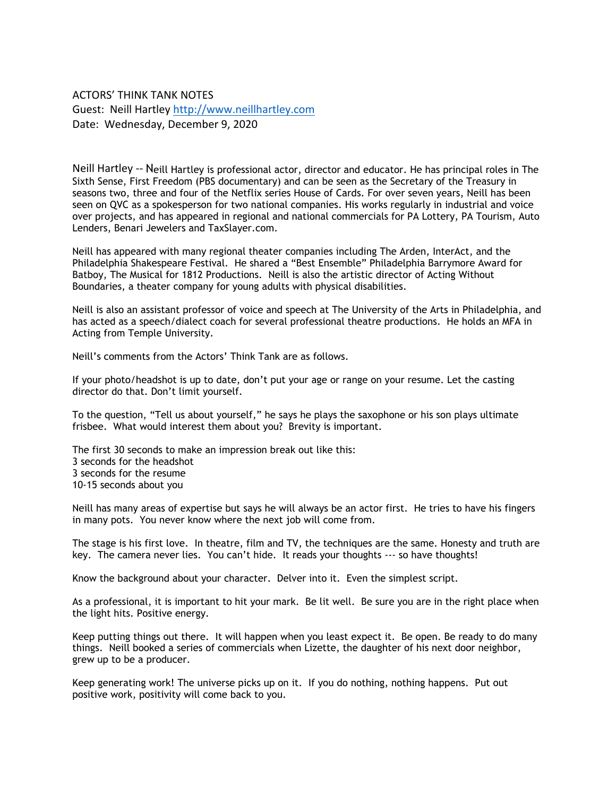ACTORS' THINK TANK NOTES Guest: Neill Hartley<http://www.neillhartley.com> Date: Wednesday, December 9, 2020

Neill Hartley -- Neill Hartley is professional actor, director and educator. He has principal roles in [The](http://www.imdb.com/title/tt0167404/)  [Sixth Sense](http://www.imdb.com/title/tt0167404/), [First Freedom \(PBS documentary\)](http://www.pbs.org/first-freedom/home/) and can be seen as the Secretary of the Treasury in seasons two, three and four of the Netflix series [House of Cards.](http://movies.netflix.com/WiMovie/House_of_Cards/70178217?locale=en-US) For over seven years, Neill has been seen on QVC as a spokesperson for two national companies. His works regularly in industrial and voice over projects, and has appeared in regional and national commercials for PA Lottery, PA Tourism, Auto Lenders, Benari Jewelers and TaxSlayer.com.

Neill has appeared with many regional theater companies including The Arden, InterAct, and the Philadelphia Shakespeare Festival. He shared a "Best Ensemble" Philadelphia Barrymore Award for Batboy, The Musical for 1812 Productions. Neill is also the artistic director of Acting Without Boundaries, a theater company for young adults with physical disabilities.

Neill is also an assistant professor of voice and speech at The University of the Arts in Philadelphia, and has acted as a speech/dialect coach for several professional theatre productions. He holds an MFA in Acting from Temple University.

Neill's comments from the Actors' Think Tank are as follows.

If your photo/headshot is up to date, don't put your age or range on your resume. Let the casting director do that. Don't limit yourself.

To the question, "Tell us about yourself," he says he plays the saxophone or his son plays ultimate frisbee. What would interest them about you? Brevity is important.

The first 30 seconds to make an impression break out like this: 3 seconds for the headshot 3 seconds for the resume 10-15 seconds about you

Neill has many areas of expertise but says he will always be an actor first. He tries to have his fingers in many pots. You never know where the next job will come from.

The stage is his first love. In theatre, film and TV, the techniques are the same. Honesty and truth are key. The camera never lies. You can't hide. It reads your thoughts --- so have thoughts!

Know the background about your character. Delver into it. Even the simplest script.

As a professional, it is important to hit your mark. Be lit well. Be sure you are in the right place when the light hits. Positive energy.

Keep putting things out there. It will happen when you least expect it. Be open. Be ready to do many things. Neill booked a series of commercials when Lizette, the daughter of his next door neighbor, grew up to be a producer.

Keep generating work! The universe picks up on it. If you do nothing, nothing happens. Put out positive work, positivity will come back to you.